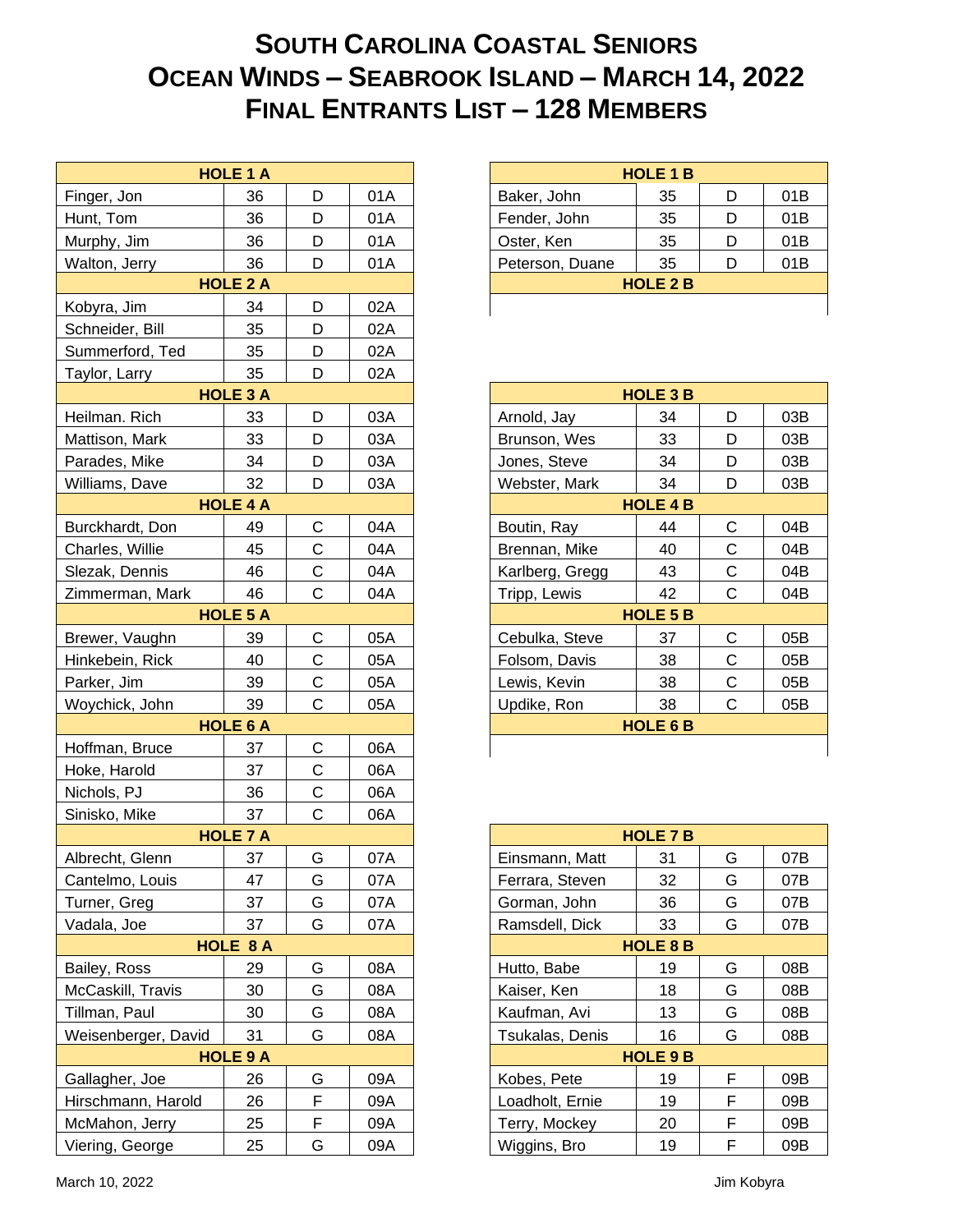## **SOUTH CAROLINA COASTAL SENIORS OCEAN WINDS – SEABROOK ISLAND – MARCH 14, 2022 FINAL ENTRANTS LIST – 128 MEMBERS**

|                                      | <b>HOLE 1 A</b> |              |            |
|--------------------------------------|-----------------|--------------|------------|
| Finger, Jon                          | 36              | D            | 01A        |
| Hunt, Tom                            | 36              | D            | 01A        |
| Murphy, Jim                          | 36              | D            | 01A        |
| Walton, Jerry                        | 36              | D            | 01A        |
|                                      | <b>HOLE 2 A</b> |              |            |
| Kobyra, Jim                          | 34              | D            | 02A        |
| Schneider, Bill                      | 35              | D            | 02A        |
| Summerford, Ted                      | 35              | D            | 02A        |
| Taylor, Larry                        | 35              | D            | 02A        |
|                                      | <b>HOLE 3 A</b> |              |            |
| Heilman. Rich                        | 33              | D            | 03A        |
| Mattison, Mark                       | 33              | D            | 03A        |
| Parades, Mike                        | 34              | D            | 03A        |
| Williams, Dave                       | 32              | D            | 03A        |
|                                      | <b>HOLE 4 A</b> |              |            |
| Burckhardt, Don                      | 49              | $\mathsf C$  | 04A        |
| Charles, Willie                      | 45              | $\mathsf C$  | 04A        |
| Slezak, Dennis                       | 46              | $\mathsf C$  | 04A        |
| Zimmerman, Mark                      | 46              | $\mathsf C$  | 04A        |
|                                      | <b>HOLE 5 A</b> |              |            |
| Brewer, Vaughn                       | 39              | $\mathsf C$  | 05A        |
| Hinkebein, Rick                      | 40              | $\mathsf C$  | 05A        |
| Parker, Jim                          | 39              | $\mathsf C$  | 05A        |
| Woychick, John                       | 39              | $\mathsf C$  | 05A        |
|                                      | <b>HOLE 6 A</b> |              |            |
| Hoffman, Bruce                       | 37              | $\mathsf C$  | 06A        |
| Hoke, Harold                         | 37              | $\mathsf C$  | 06A        |
| Nichols, PJ                          | 36              | $\mathsf C$  | 06A        |
| Sinisko, Mike                        | 37              | $\mathsf{C}$ | 06A        |
|                                      | <b>HOLE 7 A</b> |              |            |
| Albrecht, Glenn                      | 37              | G.           | 07A        |
| Cantelmo, Louis                      | 47              | G            | 07A        |
| Turner, Greg                         | 37              | G            | 07A        |
| Vadala, Joe                          | 37              | G            | 07A        |
|                                      | HOLE 8 A        |              |            |
| Bailey, Ross                         | 29<br>30        | G<br>G       | 08A        |
| McCaskill, Travis                    |                 |              | 08A        |
| Tillman, Paul<br>Weisenberger, David | 30<br>31        | G<br>G       | 08A<br>08A |
|                                      | <b>HOLE 9 A</b> |              |            |
| Gallagher, Joe                       | 26              | G            | 09A        |
| Hirschmann, Harold                   | 26              | F            | 09A        |
| McMahon, Jerry                       | 25              | F            | 09A        |
| Viering, George                      | 25              | G            | 09A        |
|                                      |                 |              |            |

| <b>HOLE 1 B</b> |    |     |     |  |  |
|-----------------|----|-----|-----|--|--|
| Baker, John     | 35 |     | 01B |  |  |
| Fender, John    | 35 | D   | 01B |  |  |
| Oster, Ken      | 35 | נ ו | 01B |  |  |
| Peterson, Duane | 35 |     | 01B |  |  |
| <b>HOLE 2 B</b> |    |     |     |  |  |
|                 |    |     |     |  |  |

| <b>HOLE 3 B</b> |                 |   |     |  |  |  |
|-----------------|-----------------|---|-----|--|--|--|
| Arnold, Jay     | 34              | D | 03B |  |  |  |
| Brunson, Wes    | 33              | D | 03B |  |  |  |
| Jones, Steve    | 34              | D | 03B |  |  |  |
| Webster, Mark   | 34              | D | 03B |  |  |  |
|                 | <b>HOLE 4 B</b> |   |     |  |  |  |
| Boutin, Ray     | 44              | C | 04B |  |  |  |
| Brennan, Mike   | 40              | С | 04B |  |  |  |
| Karlberg, Gregg | 43              | С | 04B |  |  |  |
| Tripp, Lewis    | 42              | С | 04B |  |  |  |
| <b>HOLE 5 B</b> |                 |   |     |  |  |  |
| Cebulka, Steve  | 37              | C | 05B |  |  |  |
| Folsom, Davis   | 38              | С | 05B |  |  |  |
| Lewis, Kevin    | 38              | С | 05B |  |  |  |
| Updike, Ron     | 38              | C | 05B |  |  |  |
| <b>HOLE 6 B</b> |                 |   |     |  |  |  |
|                 |                 |   |     |  |  |  |

| <b>HOLE 7 B</b>        |    |   |     |  |  |
|------------------------|----|---|-----|--|--|
| Einsmann, Matt         | 31 | G | 07B |  |  |
| Ferrara, Steven        | 32 | G | 07B |  |  |
| Gorman, John           | 36 | G | 07B |  |  |
| Ramsdell, Dick         | 33 | G | 07B |  |  |
| <b>HOLE 8 B</b>        |    |   |     |  |  |
| Hutto, Babe            | 19 | G | 08B |  |  |
| Kaiser, Ken            | 18 | G | 08B |  |  |
| Kaufman, Avi           | 13 | G | 08B |  |  |
| <b>Tsukalas, Denis</b> | 16 | G | 08B |  |  |
| <b>HOLE 9 B</b>        |    |   |     |  |  |
| Kobes, Pete            | 19 | F | 09B |  |  |
| Loadholt, Ernie        | 19 | F | 09B |  |  |
| Terry, Mockey          | 20 | F | 09B |  |  |
| Wiggins, Bro           | 19 | F | 09B |  |  |